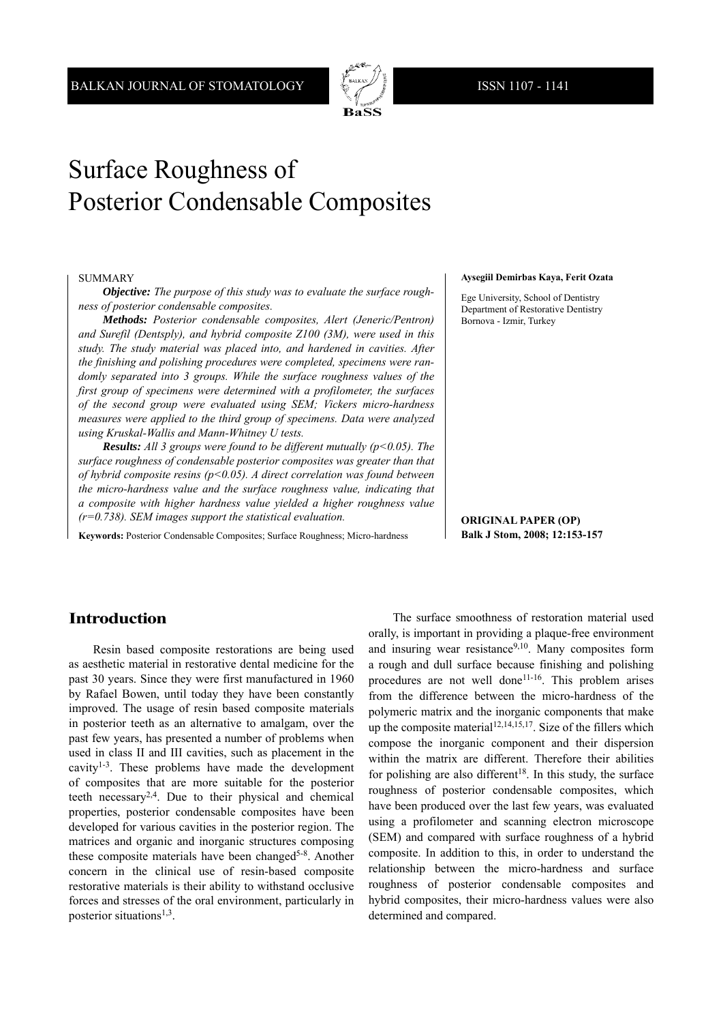

# Surface Roughness of Posterior Condensable Composites

#### SUMMARY

*Objective: The purpose of this study was to evaluate the surface roughness of posterior condensable composites.*

*Methods: Posterior condensable composites, Alert (Jeneric/Pentron) and Surefil (Dentsply), and hybrid composite Z100 (3M), were used in this study. The study material was placed into, and hardened in cavities. After the finishing and polishing procedures were completed, specimens were randomly separated into 3 groups. While the surface roughness values of the first group of specimens were determined with a profilometer, the surfaces of the second group were evaluated using SEM; Vickers micro-hardness mea sures were applied to the third group of specimens. Data were analyzed using Kruskal-Wallis and Mann-Whitney U tests.*

*Results: All 3 groups were found to be different mutually (p<0.05). The surface roughness of condensable posterior composites was greater than that of hybrid composite resins (p<0.05). A direct correlation was found between the micro-hardness value and the surface roughness value, indicating that a composite with higher hardness value yielded a higher roughness value (r=0.738). SEM images support the statistical evaluation.*

**Keywords:** Posterior Condensable Composites; Surface Roughness; Micro-hardness

#### **Aysegiil Demirbas Kaya, Ferit Ozata**

Ege University, School of Dentistry Department of Restorative Dentistry Bornova - Izmir, Turkey

**ORIGINAL PAPER (OP) Balk J Stom, 2008; 12:153-157**

# **Introduction**

Resin based composite restorations are being used as aesthetic material in restorative dental medicine for the past 30 years. Since they were first manufactured in 1960 by Rafael Bowen, until today they have been constantly improved. The usage of resin based composite materials in posterior teeth as an alternative to amalgam, over the past few years, has presented a number of problems when used in class II and III cavities, such as placement in the cavity<sup>1-3</sup>. These problems have made the development of composites that are more suitable for the posterior teeth necessary2,4. Due to their physical and chemical properties, posterior condensable composites have been developed for various cavities in the posterior region. The matrices and organic and inorganic structures composing these composite materials have been changed<sup>5-8</sup>. Another concern in the clinical use of resin-based composite restorative materials is their ability to withstand occlusive forces and stresses of the oral environment, particularly in posterior situations $^{1,3}$ .

The surface smoothness of restoration material used orally, is important in providing a plaque-free environment and insuring wear resistance<sup>9,10</sup>. Many composites form a rough and dull surface because finishing and polishing procedures are not well done<sup>11-16</sup>. This problem arises from the difference between the micro-hardness of the polymeric matrix and the inorganic components that make up the composite material<sup>12,14,15,17</sup>. Size of the fillers which compose the inorganic component and their dispersion within the matrix are different. Therefore their abilities for polishing are also different<sup>18</sup>. In this study, the surface roughness of posterior condensable composites, which have been produced over the last few years, was evaluated using a profilometer and scanning electron microscope (SEM) and compared with surface roughness of a hybrid composite. In addition to this, in order to understand the relationship between the micro-hardness and surface roughness of posterior condensable composites and hybrid composites, their micro-hardness values were also determined and compared.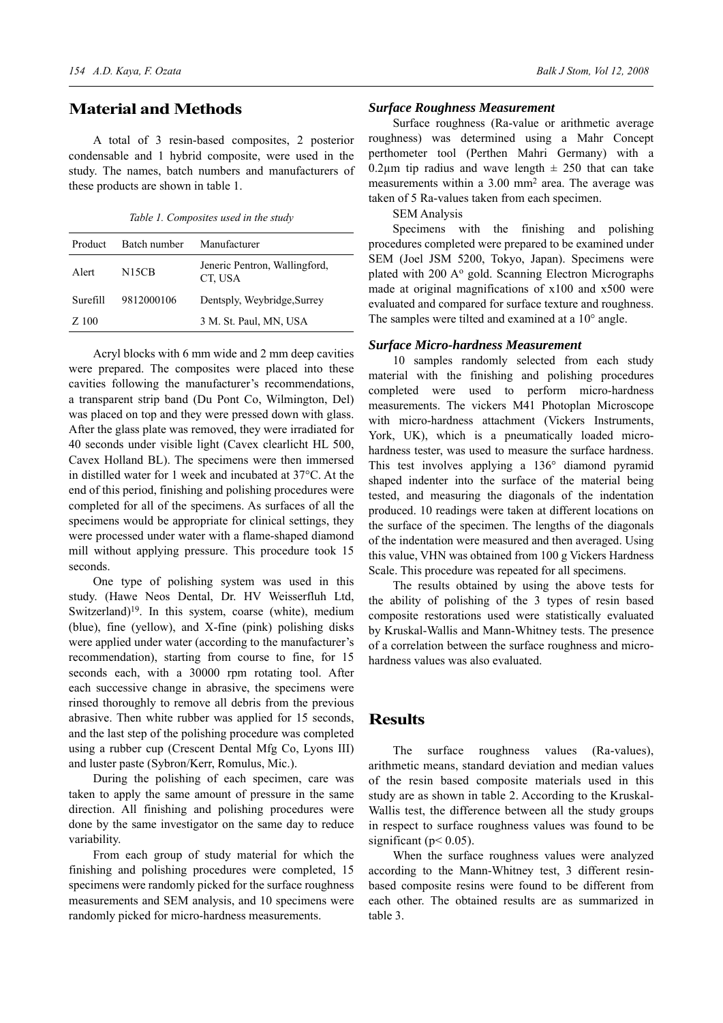# **Material and Methods**

A total of 3 resin-based composites, 2 posterior condensable and 1 hybrid composite, were used in the study. The names, batch numbers and manufacturers of these products are shown in table 1.

*Table 1. Composites used in the study*

| Product  | Batch number       | Manufacturer                             |
|----------|--------------------|------------------------------------------|
| Alert    | N <sub>15</sub> CB | Jeneric Pentron, Wallingford,<br>CT, USA |
| Surefill | 9812000106         | Dentsply, Weybridge, Surrey              |
| Z 100    |                    | 3 M. St. Paul, MN, USA                   |

Acryl blocks with 6 mm wide and 2 mm deep cavities were prepared. The composites were placed into these cavities following the manufacturer's recommendations, a transparent strip band (Du Pont Co, Wilmington, Del) was placed on top and they were pressed down with glass. After the glass plate was removed, they were irradiated for 40 seconds under visible light (Cavex clearlicht HL 500, Cavex Holland BL). The specimens were then immersed in distilled water for 1 week and incubated at 37°C. At the end of this period, finishing and polishing procedures were completed for all of the specimens. As surfaces of all the specimens would be appropriate for clinical settings, they were processed under water with a flame-shaped diamond mill without applying pressure. This procedure took 15 seconds.

One type of polishing system was used in this study. (Hawe Neos Dental, Dr. HV Weisserfluh Ltd, Switzerland) $19$ . In this system, coarse (white), medium (blue), fine (yellow), and X-fine (pink) polishing disks were applied under water (according to the manufacturer's recommendation), starting from course to fine, for 15 seconds each, with a 30000 rpm rotating tool. After each successive change in abrasive, the specimens were rinsed thoroughly to remove all debris from the previous abrasive. Then white rubber was applied for 15 seconds, and the last step of the polishing procedure was completed using a rubber cup (Crescent Dental Mfg Co, Lyons III) and luster paste (Sybron/Kerr, Romulus, Mic.).

During the polishing of each specimen, care was taken to apply the same amount of pressure in the same direction. All finishing and polishing procedures were done by the same investigator on the same day to reduce variability.

From each group of study material for which the finishing and polishing procedures were completed, 15 specimens were randomly picked for the surface roughness measurements and SEM analysis, and 10 specimens were randomly picked for micro-hardness measurements.

#### *Surface Roughness Measurement*

Surface roughness (Ra-value or arithmetic average roughness) was determined using a Mahr Concept perthometer tool (Perthen Mahri Germany) with a 0.2 $\mu$ m tip radius and wave length  $\pm$  250 that can take measurements within a 3.00 mm<sup>2</sup> area. The average was taken of 5 Ra-values taken from each specimen.

SEM Analysis

Specimens with the finishing and polishing procedures completed were prepared to be examined under SEM (Joel JSM 5200, Tokyo, Japan). Specimens were plated with 200 A<sup>o</sup> gold. Scanning Electron Micrographs made at original magnifications of x100 and x500 were evaluated and compared for surface texture and roughness. The samples were tilted and examined at a 10° angle.

#### *Surface Micro-hardness Measurement*

10 samples randomly selected from each study material with the finishing and polishing procedures completed were used to perform micro-hardness measurements. The vickers M41 Photoplan Microscope with micro-hardness attachment (Vickers Instruments, York, UK), which is a pneumatically loaded microhardness tester, was used to measure the surface hardness. This test involves applying a 136° diamond pyramid shaped indenter into the surface of the material being tested, and measuring the diagonals of the indentation produced. 10 readings were taken at different locations on the surface of the specimen. The lengths of the diagonals of the indentation were measured and then averaged. Using this value, VHN was obtained from 100 g Vickers Hardness Scale. This procedure was repeated for all specimens.

The results obtained by using the above tests for the ability of polishing of the 3 types of resin based composite restorations used were statistically evaluated by Kruskal-Wallis and Mann-Whitney tests. The presence of a correlation between the surface roughness and microhardness values was also evaluated.

### **Results**

The surface roughness values (Ra-values), arithmetic means, standard deviation and median values of the resin based composite materials used in this study are as shown in table 2. According to the Kruskal-Wallis test, the difference between all the study groups in respect to surface roughness values was found to be significant ( $p$  < 0.05).

When the surface roughness values were analyzed according to the Mann-Whitney test, 3 different resinbased composite resins were found to be different from each other. The obtained results are as summarized in table 3.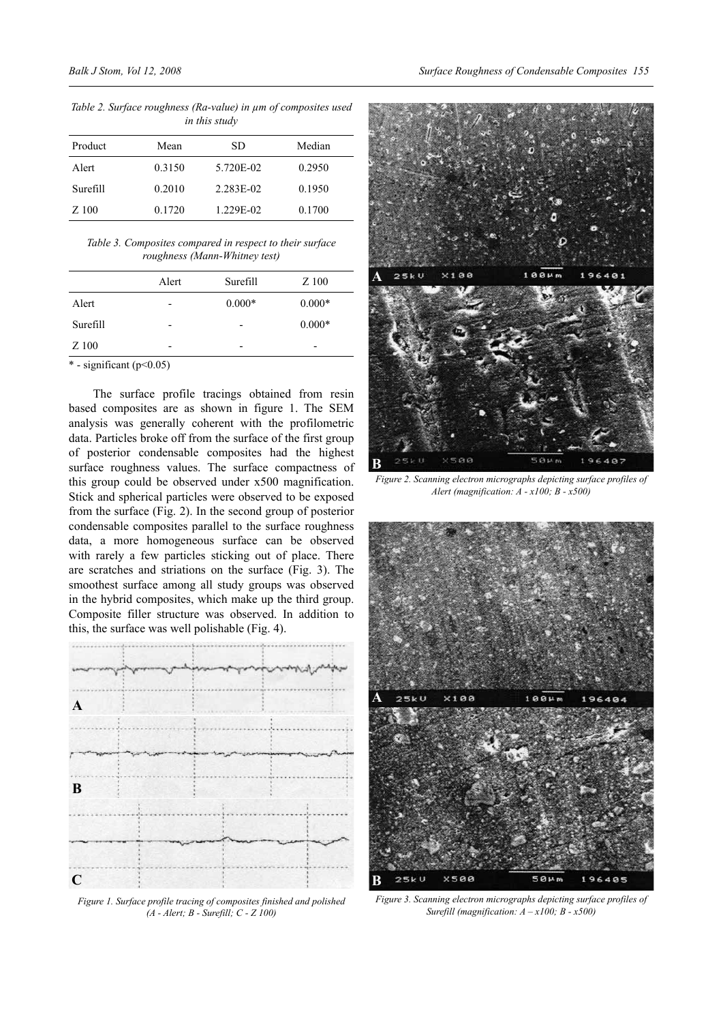*Table 2. Surface roughness (Ra-value) in μm of composites used in this study*

| Product  | Mean   | SD        | Median |
|----------|--------|-----------|--------|
| Alert    | 0.3150 | 5.720E-02 | 0.2950 |
| Surefill | 0.2010 | 2.283E-02 | 0.1950 |
| Z 100    | 0.1720 | 1.229E-02 | 0.1700 |

*Table 3. Composites compared in respect to their surface roughness (Mann-Whitney test)*

|          | Alert | Surefill                 | Z 100    |
|----------|-------|--------------------------|----------|
| Alert    |       | $0.000*$                 | $0.000*$ |
| Surefill |       | $\overline{\phantom{0}}$ | $0.000*$ |
| Z 100    |       |                          |          |
|          |       |                          |          |

 $*$  - significant (p<0.05)

The surface profile tracings obtained from resin based composites are as shown in figure 1. The SEM analysis was generally coherent with the profilometric data. Particles broke off from the surface of the first group of posterior condensable composites had the highest surface roughness values. The surface compactness of this group could be observed under x500 magnification. Stick and spherical particles were observed to be exposed from the surface (Fig. 2). In the second group of posterior condensable composites parallel to the surface roughness data, a more homogeneous surface can be observed with rarely a few particles sticking out of place. There are scratches and striations on the surface (Fig. 3). The smoothest surface among all study groups was observed in the hybrid composites, which make up the third group. Composite filler structure was observed. In addition to this, the surface was well polishable (Fig. 4).



*Figure 1. Surface profile tracing of composites finished and polished (A - Alert; B - Surefill; C - Z 100)*



*Figure 2. Scanning electron micrographs depicting surface profiles of Alert (magnification: A - x100; B - x500)*



*Figure 3. Scanning electron micrographs depicting surface profiles of Surefill (magnification: A – x100; B - x500)*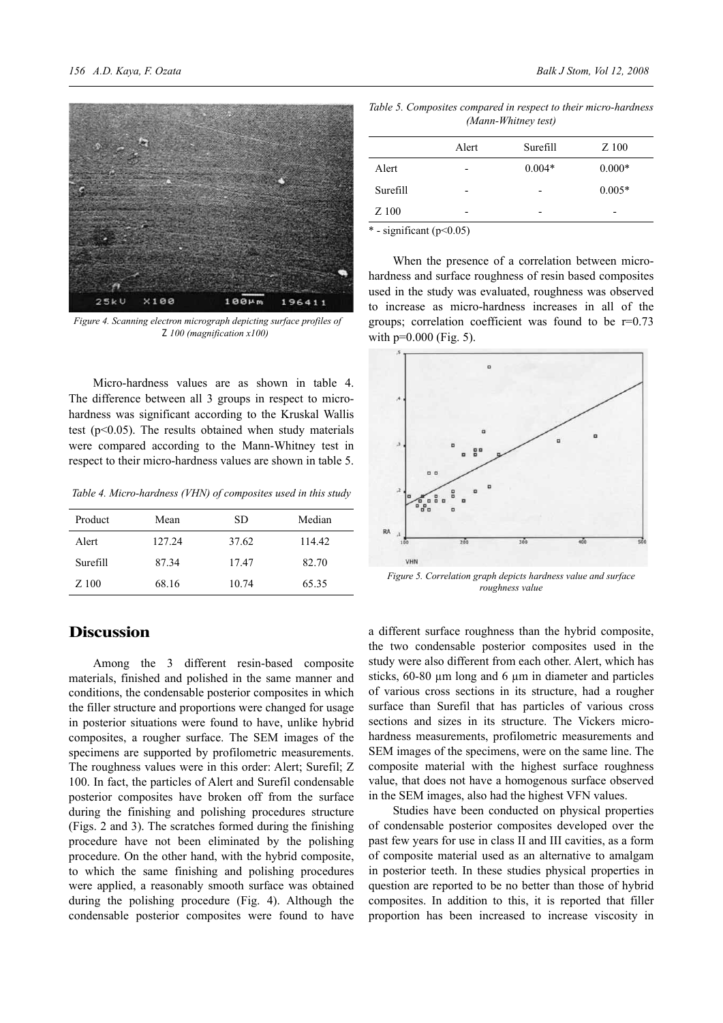

*Figure 4. Scanning electron micrograph depicting surface profiles of Z 100 (magnification x100)*

Micro-hardness values are as shown in table 4. The difference between all 3 groups in respect to microhardness was significant according to the Kruskal Wallis test (p<0.05). The results obtained when study materials were compared according to the Mann-Whitney test in respect to their micro-hardness values are shown in table 5.

*Table 4. Micro-hardness (VHN) of composites used in this study*

| Product  | Mean   | SD    | Median |
|----------|--------|-------|--------|
| Alert    | 127.24 | 37.62 | 114.42 |
| Surefill | 87.34  | 17.47 | 82.70  |
| Z 100    | 68.16  | 10.74 | 65.35  |

# **Discussion**

Among the 3 different resin-based composite materials, finished and polished in the same manner and conditions, the condensable posterior composites in which the filler structure and proportions were changed for usage in posterior situations were found to have, unlike hybrid composites, a rougher surface. The SEM images of the specimens are supported by profilometric measurements. The roughness values were in this order: Alert; Surefil; Z 100. In fact, the particles of Alert and Surefil condensable posterior composites have broken off from the surface during the finishing and polishing procedures structure (Figs. 2 and 3). The scratches formed during the finishing procedure have not been eliminated by the polishing procedure. On the other hand, with the hybrid composite, to which the same finishing and polishing procedures were applied, a reasonably smooth surface was obtained during the polishing procedure (Fig. 4). Although the condensable posterior composites were found to have

*Table 5. Composites compared in respect to their micro-hardness (Mann-Whitney test)*

|                            | Alert | Surefill | Z 100    |
|----------------------------|-------|----------|----------|
| Alert                      | -     | $0.004*$ | $0.000*$ |
| Surefill                   | -     |          | $0.005*$ |
| Z 100                      | -     |          | -        |
| $*$ significant $(n<0.05)$ |       |          |          |

 $-$  significant (p $\leq 0.05$ )

When the presence of a correlation between microhardness and surface roughness of resin based composites used in the study was evaluated, roughness was observed to increase as micro-hardness increases in all of the groups; correlation coefficient was found to be  $r=0.73$ with  $p=0.000$  (Fig. 5).



*Figure 5. Correlation graph depicts hardness value and surface roughness value*

a different surface roughness than the hybrid composite, the two condensable posterior composites used in the study were also different from each other. Alert, which has sticks, 60-80 μm long and 6 μm in diameter and particles of various cross sections in its structure, had a rougher surface than Surefil that has particles of various cross sections and sizes in its structure. The Vickers microhardness measurements, profilometric measurements and SEM images of the specimens, were on the same line. The composite material with the highest surface roughness value, that does not have a homogenous surface observed in the SEM images, also had the highest VFN values.

Studies have been conducted on physical properties of condensable posterior composites developed over the past few years for use in class II and III cavities, as a form of composite material used as an alternative to amalgam in posterior teeth. In these studies physical properties in question are reported to be no better than those of hybrid composites. In addition to this, it is reported that filler proportion has been increased to increase viscosity in